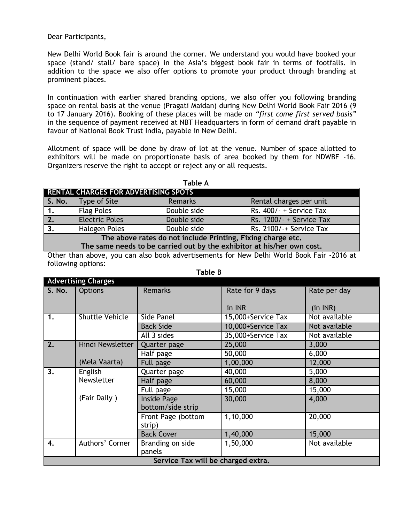Dear Participants,

New Delhi World Book fair is around the corner. We understand you would have booked your space (stand/ stall/ bare space) in the Asia's biggest book fair in terms of footfalls. In addition to the space we also offer options to promote your product through branding at prominent places.

In continuation with earlier shared branding options, we also offer you following branding space on rental basis at the venue (Pragati Maidan) during New Delhi World Book Fair 2016 (9 to 17 January 2016). Booking of these places will be made on *"first come first served basis"*  in the sequence of payment received at NBT Headquarters in form of demand draft payable in favour of National Book Trust India, payable in New Delhi.

Allotment of space will be done by draw of lot at the venue. Number of space allotted to exhibitors will be made on proportionate basis of area booked by them for NDWBF -16. Organizers reserve the right to accept or reject any or all requests.

| <b>Table A</b>                                                         |                       |             |                            |  |  |  |  |
|------------------------------------------------------------------------|-----------------------|-------------|----------------------------|--|--|--|--|
| RENTAL CHARGES FOR ADVERTISING SPOTS                                   |                       |             |                            |  |  |  |  |
| S. No.                                                                 | Type of Site          | Remarks     | Rental charges per unit    |  |  |  |  |
| 1.                                                                     | <b>Flag Poles</b>     | Double side | Rs. 400/-+Service Tax      |  |  |  |  |
| 2.                                                                     | <b>Electric Poles</b> | Double side | Rs. $1200/- +$ Service Tax |  |  |  |  |
| 3.                                                                     | Halogen Poles         | Double side | Rs. 2100/-+ Service Tax    |  |  |  |  |
| The above rates do not include Printing, Fixing charge etc.            |                       |             |                            |  |  |  |  |
| The same needs to be carried out by the exhibitor at his/her own cost. |                       |             |                            |  |  |  |  |

Other than above, you can also book advertisements for New Delhi World Book Fair -2016 at following options:

| <b>Advertising Charges</b>         |                        |                    |                    |               |  |
|------------------------------------|------------------------|--------------------|--------------------|---------------|--|
| S. No.                             | Options                | <b>Remarks</b>     | Rate for 9 days    | Rate per day  |  |
|                                    |                        |                    |                    |               |  |
|                                    |                        |                    | in INR             | (in INR)      |  |
| 1.                                 | <b>Shuttle Vehicle</b> | Side Panel         | 15,000+Service Tax | Not available |  |
|                                    |                        | <b>Back Side</b>   | 10,000+Service Tax | Not available |  |
|                                    |                        | All 3 sides        | 35,000+Service Tax | Not available |  |
| 2.                                 | Hindi Newsletter       | Quarter page       | 25,000             | 3,000         |  |
|                                    |                        | Half page          | 50,000             | 6,000         |  |
|                                    | (Mela Vaarta)          | Full page          | 1,00,000           | 12,000        |  |
| 3.                                 | English<br>Newsletter  | Quarter page       | 40,000             | 5,000         |  |
|                                    |                        | Half page          | 60,000             | 8,000         |  |
|                                    |                        | Full page          | 15,000             | 15,000        |  |
|                                    | (Fair Daily)           | Inside Page        | 30,000             | 4,000         |  |
|                                    |                        | bottom/side strip  |                    |               |  |
|                                    |                        | Front Page (bottom | 1,10,000           | 20,000        |  |
|                                    |                        | strip)             |                    |               |  |
|                                    |                        | <b>Back Cover</b>  | 1,40,000           | 15,000        |  |
| 4.                                 | Authors' Corner        | Branding on side   | 1,50,000           | Not available |  |
|                                    |                        | panels             |                    |               |  |
| Service Tax will be charged extra. |                        |                    |                    |               |  |

 **Table B**